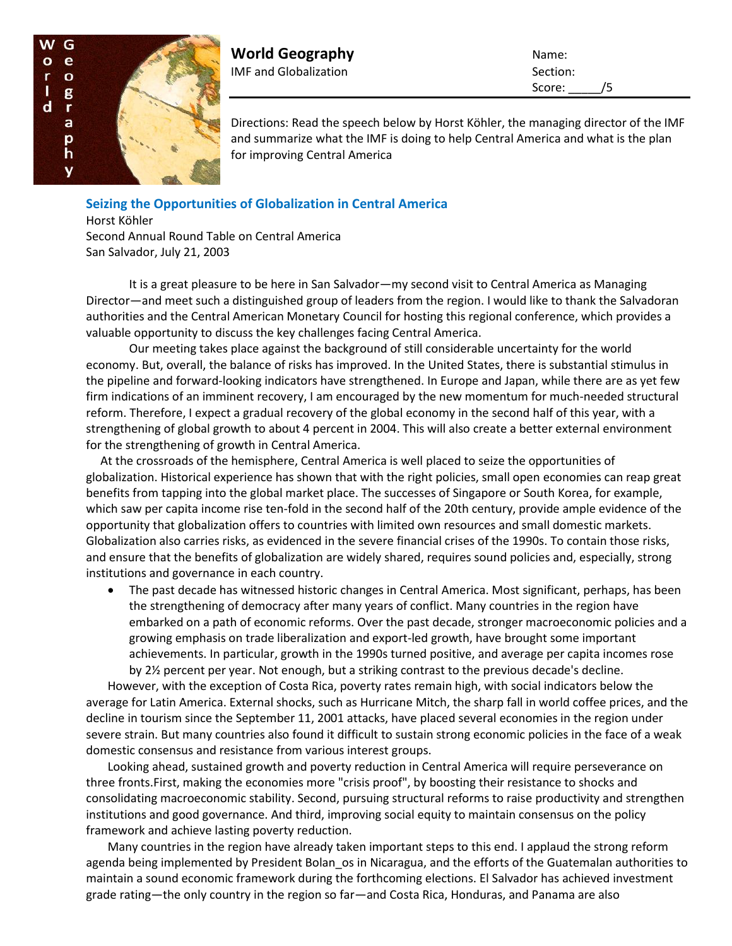

**World Geography** Name: IMF and Globalization Section:

Score: /5

Directions: Read the speech below by Horst Köhler, the managing director of the IMF and summarize what the IMF is doing to help Central America and what is the plan for improving Central America

## **Seizing the Opportunities of Globalization in Central America**

Horst Köhler Second Annual Round Table on Central America San Salvador, July 21, 2003

It is a great pleasure to be here in San Salvador—my second visit to Central America as Managing Director—and meet such a distinguished group of leaders from the region. I would like to thank the Salvadoran authorities and the Central American Monetary Council for hosting this regional conference, which provides a valuable opportunity to discuss the key challenges facing Central America.

Our meeting takes place against the background of still considerable uncertainty for the world economy. But, overall, the balance of risks has improved. In the United States, there is substantial stimulus in the pipeline and forward-looking indicators have strengthened. In Europe and Japan, while there are as yet few firm indications of an imminent recovery, I am encouraged by the new momentum for much-needed structural reform. Therefore, I expect a gradual recovery of the global economy in the second half of this year, with a strengthening of global growth to about 4 percent in 2004. This will also create a better external environment for the strengthening of growth in Central America.

At the crossroads of the hemisphere, Central America is well placed to seize the opportunities of globalization. Historical experience has shown that with the right policies, small open economies can reap great benefits from tapping into the global market place. The successes of Singapore or South Korea, for example, which saw per capita income rise ten-fold in the second half of the 20th century, provide ample evidence of the opportunity that globalization offers to countries with limited own resources and small domestic markets. Globalization also carries risks, as evidenced in the severe financial crises of the 1990s. To contain those risks, and ensure that the benefits of globalization are widely shared, requires sound policies and, especially, strong institutions and governance in each country.

 The past decade has witnessed historic changes in Central America. Most significant, perhaps, has been the strengthening of democracy after many years of conflict. Many countries in the region have embarked on a path of economic reforms. Over the past decade, stronger macroeconomic policies and a growing emphasis on trade liberalization and export-led growth, have brought some important achievements. In particular, growth in the 1990s turned positive, and average per capita incomes rose by 2½ percent per year. Not enough, but a striking contrast to the previous decade's decline.

However, with the exception of Costa Rica, poverty rates remain high, with social indicators below the average for Latin America. External shocks, such as Hurricane Mitch, the sharp fall in world coffee prices, and the decline in tourism since the September 11, 2001 attacks, have placed several economies in the region under severe strain. But many countries also found it difficult to sustain strong economic policies in the face of a weak domestic consensus and resistance from various interest groups.

Looking ahead, sustained growth and poverty reduction in Central America will require perseverance on three fronts.First, making the economies more "crisis proof", by boosting their resistance to shocks and consolidating macroeconomic stability. Second, pursuing structural reforms to raise productivity and strengthen institutions and good governance. And third, improving social equity to maintain consensus on the policy framework and achieve lasting poverty reduction.

Many countries in the region have already taken important steps to this end. I applaud the strong reform agenda being implemented by President Bolan os in Nicaragua, and the efforts of the Guatemalan authorities to maintain a sound economic framework during the forthcoming elections. El Salvador has achieved investment grade rating—the only country in the region so far—and Costa Rica, Honduras, and Panama are also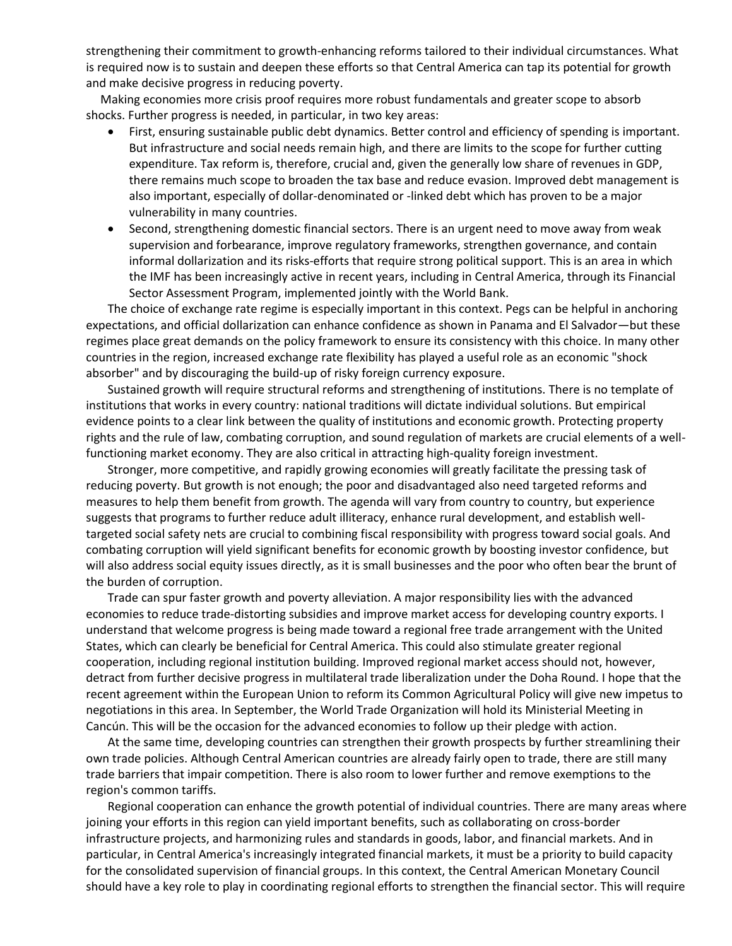strengthening their commitment to growth-enhancing reforms tailored to their individual circumstances. What is required now is to sustain and deepen these efforts so that Central America can tap its potential for growth and make decisive progress in reducing poverty.

Making economies more crisis proof requires more robust fundamentals and greater scope to absorb shocks. Further progress is needed, in particular, in two key areas:

- First, ensuring sustainable public debt dynamics. Better control and efficiency of spending is important. But infrastructure and social needs remain high, and there are limits to the scope for further cutting expenditure. Tax reform is, therefore, crucial and, given the generally low share of revenues in GDP, there remains much scope to broaden the tax base and reduce evasion. Improved debt management is also important, especially of dollar-denominated or -linked debt which has proven to be a major vulnerability in many countries.
- Second, strengthening domestic financial sectors. There is an urgent need to move away from weak supervision and forbearance, improve regulatory frameworks, strengthen governance, and contain informal dollarization and its risks-efforts that require strong political support. This is an area in which the IMF has been increasingly active in recent years, including in Central America, through its Financial Sector Assessment Program, implemented jointly with the World Bank.

The choice of exchange rate regime is especially important in this context. Pegs can be helpful in anchoring expectations, and official dollarization can enhance confidence as shown in Panama and El Salvador—but these regimes place great demands on the policy framework to ensure its consistency with this choice. In many other countries in the region, increased exchange rate flexibility has played a useful role as an economic "shock absorber" and by discouraging the build-up of risky foreign currency exposure.

Sustained growth will require structural reforms and strengthening of institutions. There is no template of institutions that works in every country: national traditions will dictate individual solutions. But empirical evidence points to a clear link between the quality of institutions and economic growth. Protecting property rights and the rule of law, combating corruption, and sound regulation of markets are crucial elements of a wellfunctioning market economy. They are also critical in attracting high-quality foreign investment.

Stronger, more competitive, and rapidly growing economies will greatly facilitate the pressing task of reducing poverty. But growth is not enough; the poor and disadvantaged also need targeted reforms and measures to help them benefit from growth. The agenda will vary from country to country, but experience suggests that programs to further reduce adult illiteracy, enhance rural development, and establish welltargeted social safety nets are crucial to combining fiscal responsibility with progress toward social goals. And combating corruption will yield significant benefits for economic growth by boosting investor confidence, but will also address social equity issues directly, as it is small businesses and the poor who often bear the brunt of the burden of corruption.

Trade can spur faster growth and poverty alleviation. A major responsibility lies with the advanced economies to reduce trade-distorting subsidies and improve market access for developing country exports. I understand that welcome progress is being made toward a regional free trade arrangement with the United States, which can clearly be beneficial for Central America. This could also stimulate greater regional cooperation, including regional institution building. Improved regional market access should not, however, detract from further decisive progress in multilateral trade liberalization under the Doha Round. I hope that the recent agreement within the European Union to reform its Common Agricultural Policy will give new impetus to negotiations in this area. In September, the World Trade Organization will hold its Ministerial Meeting in Cancún. This will be the occasion for the advanced economies to follow up their pledge with action.

At the same time, developing countries can strengthen their growth prospects by further streamlining their own trade policies. Although Central American countries are already fairly open to trade, there are still many trade barriers that impair competition. There is also room to lower further and remove exemptions to the region's common tariffs.

Regional cooperation can enhance the growth potential of individual countries. There are many areas where joining your efforts in this region can yield important benefits, such as collaborating on cross-border infrastructure projects, and harmonizing rules and standards in goods, labor, and financial markets. And in particular, in Central America's increasingly integrated financial markets, it must be a priority to build capacity for the consolidated supervision of financial groups. In this context, the Central American Monetary Council should have a key role to play in coordinating regional efforts to strengthen the financial sector. This will require